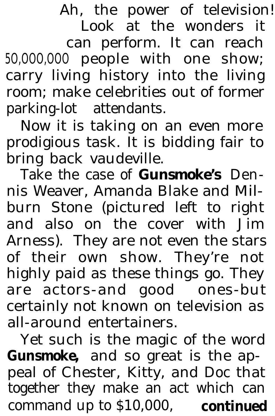Ah, the power of television! Look at the wonders it can perform. It can reach 5O,OOO,OOO people with one show; carry living history into the living room; make celebrities out of former parking-lot attendants.

Now it is taking on an even more prodigious task. It is bidding fair to bring back vaudeville.

Take the case of *Gunsmoke's* Dennis Weaver, Amanda Blake and Milburn Stone (pictured left to right and also on the cover with Jim Arness). They are not even the stars of their own show. They're not highly paid as these things go. They are actors-and good ones-but certainly not known on television as all-around entertainers.

Yet such is the magic of the word *Gunsmoke,* and so great is the appeal of Chester, Kitty, and Doc that together they make an act which can command up to \$10,000, **continued**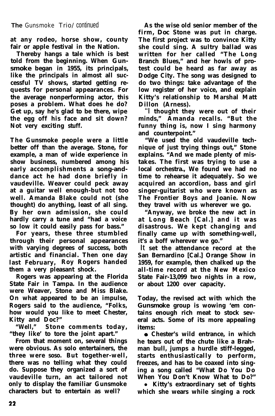**at any rodeo, horse show, county fair or apple festival in the Nation.**

**Thereby hangs a tale which is best told from the beginning. When Gun***smoke* **began in 1955, its principals, like the principals in almost all successful TV shows, started getting requests for personal appearances. For the average nonperforming actor, this poses a problem. What does he do? Get up, say he's glad to be there, wipe the egg off his face and sit down? Not very exciting stuff.**

**The Gunsmoke people were a little better off than the average. Stone, for example, a man of wide experience in show business, numbered among his early accomplishments a song-anddance act he had done briefly in vaudeville. Weaver could peck away at a guitar well enough-but not too well. Amanda Blake could not (she thought) do anything, least of all sing. By her own admission, she could hardly carry a tune and "had a voice so low it could easily pass for bass."**

**For years, these three stumbled through their personal appearances with varying degrees of success, both artistic and financial. Then one day last February, Roy Rogers handed them a very pleasant shock.**

**Rogers was appearing at the Florida State Fair in Tampa. In the audience were Weaver, Stone and Miss Blake. On what appeared to be an impulse, Rogers said to the audience, "Folks, how would you like to meet Chester, Kitty and Doc?"**

**"Well," Stone comments today, "they like' to tore the joint apart."**

**From that moment on, several things were obvious. As solo entertainers, the three were soso. But together-well, there was no telling what they could do. Suppose they organized a sort of vaudeville turn, an act tailored not only to display the familiar Gunsmoke characters but to entertain as well?**

**As the wise old senior member of the firm, Doc Stone was put in charge. The first project was to convince Kitty she could sing. A sultry ballad was written for her called "The Long Branch Blues," and her howls of protest could be heard as far away as Dodge City. The song was designed to do two things: take advantage of the low register of her voice, and explain Kitty's relationship to Marshal Matt Dillon (Arness).**

"I **thought they were out of their minds," Amanda recalls. "But the funny thing is, now I sing harmony and counterpoint."**

**"We used the old vaudeville technique of just trying things out," Stone explains. "And we made plenty of mistakes. The first was trying to use a local orchestra., We found we had no time to rehearse it adequately. So we acquired an accordion, bass and girl singer-guitarist who were known as The Frontier Boys and Joanie. Now they travel with us wherever we go.**

**"Anyway, we broke the new act in at Long Beach [Cal.] and it was disastrous. We kept changing and finally came up with something-well, it's a boff wherever we go."**

It **set the attendance record at the San Bernardino [Cal.] Orange Show in 1959, for example, then chalked up the all-time record at the New Mexico State Fair-13,099 two nights in a row, or about 1200 over capacity.**

**Today, the revised act with which the** *Gunsmoke* **group is wowing 'em contains enough rich meat to stock several acts. Some of its more appealing items:**

**a Chester's wild entrance, in which he tears out of the chute like a Brahman bull, jumps a hurdle stiff-legged, starts enthusiastically to perform, freezes, and has to be coaxed into singing a song called "What Do You Do When You Don't Know What to Do?"**

**• Kitty's extraordinary set of tights which she wears while singing a rock**